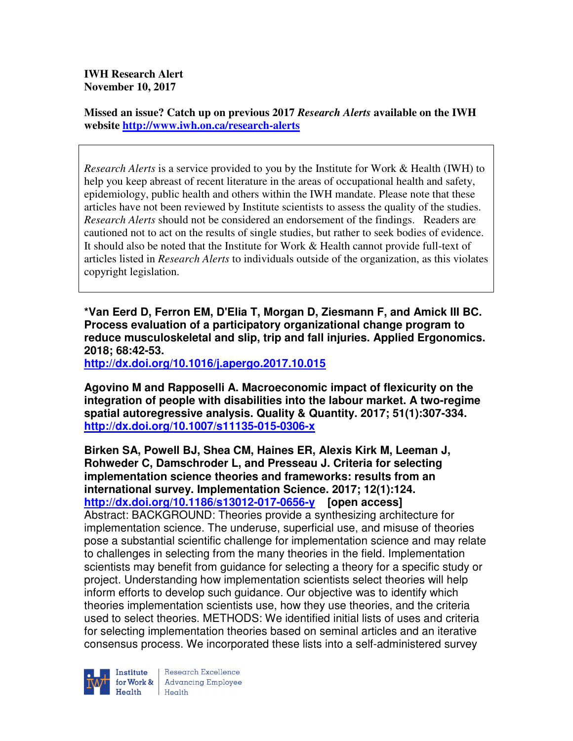**IWH Research Alert November 10, 2017** 

**Missed an issue? Catch up on previous 2017** *Research Alerts* **available on the IWH website http://www.iwh.on.ca/research-alerts**

*Research Alerts* is a service provided to you by the Institute for Work & Health (IWH) to help you keep abreast of recent literature in the areas of occupational health and safety, epidemiology, public health and others within the IWH mandate. Please note that these articles have not been reviewed by Institute scientists to assess the quality of the studies. *Research Alerts* should not be considered an endorsement of the findings. Readers are cautioned not to act on the results of single studies, but rather to seek bodies of evidence. It should also be noted that the Institute for Work & Health cannot provide full-text of articles listed in *Research Alerts* to individuals outside of the organization, as this violates copyright legislation.

**\*Van Eerd D, Ferron EM, D'Elia T, Morgan D, Ziesmann F, and Amick III BC. Process evaluation of a participatory organizational change program to reduce musculoskeletal and slip, trip and fall injuries. Applied Ergonomics. 2018; 68:42-53.** 

**http://dx.doi.org/10.1016/j.apergo.2017.10.015** 

**Agovino M and Rapposelli A. Macroeconomic impact of flexicurity on the integration of people with disabilities into the labour market. A two-regime spatial autoregressive analysis. Quality & Quantity. 2017; 51(1):307-334. http://dx.doi.org/10.1007/s11135-015-0306-x** 

**Birken SA, Powell BJ, Shea CM, Haines ER, Alexis Kirk M, Leeman J, Rohweder C, Damschroder L, and Presseau J. Criteria for selecting implementation science theories and frameworks: results from an international survey. Implementation Science. 2017; 12(1):124. http://dx.doi.org/10.1186/s13012-017-0656-y [open access]** Abstract: BACKGROUND: Theories provide a synthesizing architecture for implementation science. The underuse, superficial use, and misuse of theories pose a substantial scientific challenge for implementation science and may relate to challenges in selecting from the many theories in the field. Implementation scientists may benefit from guidance for selecting a theory for a specific study or project. Understanding how implementation scientists select theories will help inform efforts to develop such guidance. Our objective was to identify which theories implementation scientists use, how they use theories, and the criteria used to select theories. METHODS: We identified initial lists of uses and criteria for selecting implementation theories based on seminal articles and an iterative consensus process. We incorporated these lists into a self-administered survey



Research Excellence for Work & | Advancing Employee  $H_{\text{each}}$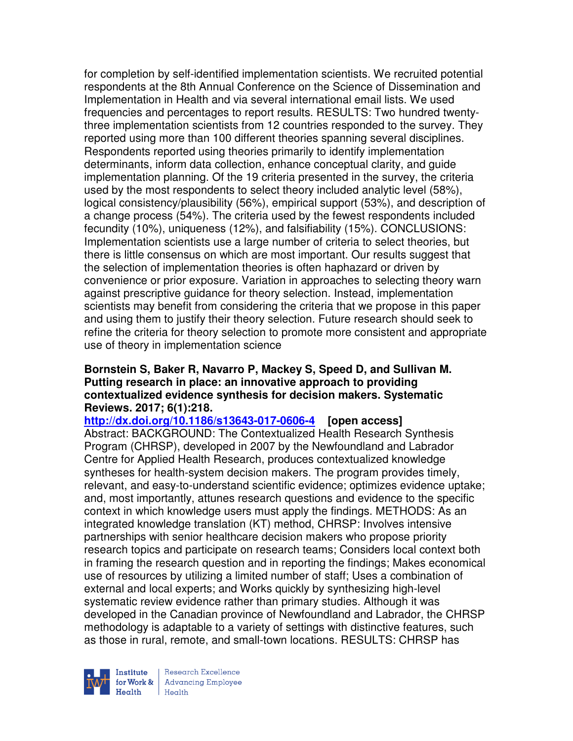for completion by self-identified implementation scientists. We recruited potential respondents at the 8th Annual Conference on the Science of Dissemination and Implementation in Health and via several international email lists. We used frequencies and percentages to report results. RESULTS: Two hundred twentythree implementation scientists from 12 countries responded to the survey. They reported using more than 100 different theories spanning several disciplines. Respondents reported using theories primarily to identify implementation determinants, inform data collection, enhance conceptual clarity, and guide implementation planning. Of the 19 criteria presented in the survey, the criteria used by the most respondents to select theory included analytic level (58%), logical consistency/plausibility (56%), empirical support (53%), and description of a change process (54%). The criteria used by the fewest respondents included fecundity (10%), uniqueness (12%), and falsifiability (15%). CONCLUSIONS: Implementation scientists use a large number of criteria to select theories, but there is little consensus on which are most important. Our results suggest that the selection of implementation theories is often haphazard or driven by convenience or prior exposure. Variation in approaches to selecting theory warn against prescriptive guidance for theory selection. Instead, implementation scientists may benefit from considering the criteria that we propose in this paper and using them to justify their theory selection. Future research should seek to refine the criteria for theory selection to promote more consistent and appropriate use of theory in implementation science

## **Bornstein S, Baker R, Navarro P, Mackey S, Speed D, and Sullivan M. Putting research in place: an innovative approach to providing contextualized evidence synthesis for decision makers. Systematic Reviews. 2017; 6(1):218.**

**http://dx.doi.org/10.1186/s13643-017-0606-4 [open access]** Abstract: BACKGROUND: The Contextualized Health Research Synthesis Program (CHRSP), developed in 2007 by the Newfoundland and Labrador Centre for Applied Health Research, produces contextualized knowledge syntheses for health-system decision makers. The program provides timely, relevant, and easy-to-understand scientific evidence; optimizes evidence uptake; and, most importantly, attunes research questions and evidence to the specific context in which knowledge users must apply the findings. METHODS: As an integrated knowledge translation (KT) method, CHRSP: Involves intensive partnerships with senior healthcare decision makers who propose priority research topics and participate on research teams; Considers local context both in framing the research question and in reporting the findings; Makes economical use of resources by utilizing a limited number of staff; Uses a combination of external and local experts; and Works quickly by synthesizing high-level systematic review evidence rather than primary studies. Although it was developed in the Canadian province of Newfoundland and Labrador, the CHRSP methodology is adaptable to a variety of settings with distinctive features, such as those in rural, remote, and small-town locations. RESULTS: CHRSP has



Research Excellence for Work & | Advancing Employee Health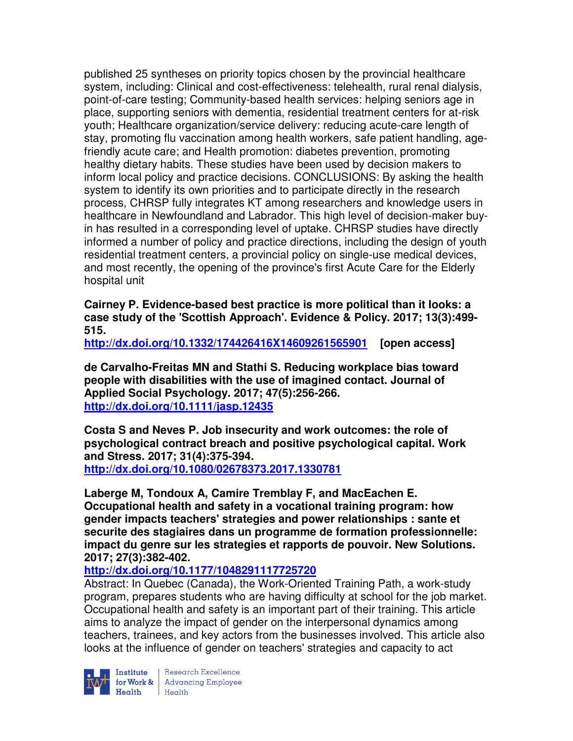published 25 syntheses on priority topics chosen by the provincial healthcare system, including: Clinical and cost-effectiveness: telehealth, rural renal dialysis, point-of-care testing; Community-based health services: helping seniors age in place, supporting seniors with dementia, residential treatment centers for at-risk youth; Healthcare organization/service delivery: reducing acute-care length of stay, promoting flu vaccination among health workers, safe patient handling, agefriendly acute care; and Health promotion: diabetes prevention, promoting healthy dietary habits. These studies have been used by decision makers to inform local policy and practice decisions. CONCLUSIONS: By asking the health system to identify its own priorities and to participate directly in the research process, CHRSP fully integrates KT among researchers and knowledge users in healthcare in Newfoundland and Labrador. This high level of decision-maker buyin has resulted in a corresponding level of uptake. CHRSP studies have directly informed a number of policy and practice directions, including the design of youth residential treatment centers, a provincial policy on single-use medical devices, and most recently, the opening of the province's first Acute Care for the Elderly hospital unit

**Cairney P. Evidence-based best practice is more political than it looks: a case study of the 'Scottish Approach'. Evidence & Policy. 2017; 13(3):499- 515.** 

**http://dx.doi.org/10.1332/174426416X14609261565901 [open access]** 

**de Carvalho-Freitas MN and Stathi S. Reducing workplace bias toward people with disabilities with the use of imagined contact. Journal of Applied Social Psychology. 2017; 47(5):256-266. http://dx.doi.org/10.1111/jasp.12435** 

**Costa S and Neves P. Job insecurity and work outcomes: the role of psychological contract breach and positive psychological capital. Work and Stress. 2017; 31(4):375-394. http://dx.doi.org/10.1080/02678373.2017.1330781** 

**Laberge M, Tondoux A, Camire Tremblay F, and MacEachen E. Occupational health and safety in a vocational training program: how gender impacts teachers' strategies and power relationships : sante et securite des stagiaires dans un programme de formation professionnelle: impact du genre sur les strategies et rapports de pouvoir. New Solutions. 2017; 27(3):382-402.** 

## **http://dx.doi.org/10.1177/1048291117725720**

Abstract: In Quebec (Canada), the Work-Oriented Training Path, a work-study program, prepares students who are having difficulty at school for the job market. Occupational health and safety is an important part of their training. This article aims to analyze the impact of gender on the interpersonal dynamics among teachers, trainees, and key actors from the businesses involved. This article also looks at the influence of gender on teachers' strategies and capacity to act



Institute Research Excellence<br>for Work & Advancing Employee<br>Health Health  $H$ ealth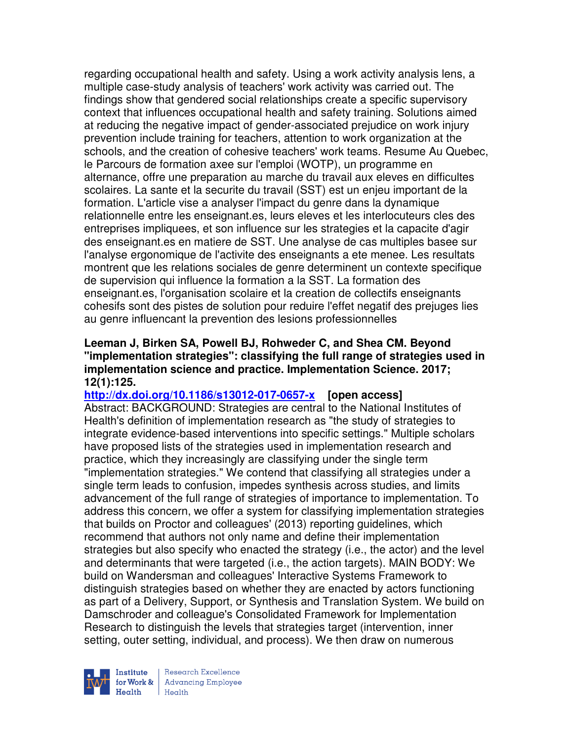regarding occupational health and safety. Using a work activity analysis lens, a multiple case-study analysis of teachers' work activity was carried out. The findings show that gendered social relationships create a specific supervisory context that influences occupational health and safety training. Solutions aimed at reducing the negative impact of gender-associated prejudice on work injury prevention include training for teachers, attention to work organization at the schools, and the creation of cohesive teachers' work teams. Resume Au Quebec, le Parcours de formation axee sur l'emploi (WOTP), un programme en alternance, offre une preparation au marche du travail aux eleves en difficultes scolaires. La sante et la securite du travail (SST) est un enjeu important de la formation. L'article vise a analyser l'impact du genre dans la dynamique relationnelle entre les enseignant.es, leurs eleves et les interlocuteurs cles des entreprises impliquees, et son influence sur les strategies et la capacite d'agir des enseignant.es en matiere de SST. Une analyse de cas multiples basee sur l'analyse ergonomique de l'activite des enseignants a ete menee. Les resultats montrent que les relations sociales de genre determinent un contexte specifique de supervision qui influence la formation a la SST. La formation des enseignant.es, l'organisation scolaire et la creation de collectifs enseignants cohesifs sont des pistes de solution pour reduire l'effet negatif des prejuges lies au genre influencant la prevention des lesions professionnelles

## **Leeman J, Birken SA, Powell BJ, Rohweder C, and Shea CM. Beyond "implementation strategies": classifying the full range of strategies used in implementation science and practice. Implementation Science. 2017; 12(1):125.**

# **http://dx.doi.org/10.1186/s13012-017-0657-x [open access]**

Abstract: BACKGROUND: Strategies are central to the National Institutes of Health's definition of implementation research as "the study of strategies to integrate evidence-based interventions into specific settings." Multiple scholars have proposed lists of the strategies used in implementation research and practice, which they increasingly are classifying under the single term "implementation strategies." We contend that classifying all strategies under a single term leads to confusion, impedes synthesis across studies, and limits advancement of the full range of strategies of importance to implementation. To address this concern, we offer a system for classifying implementation strategies that builds on Proctor and colleagues' (2013) reporting guidelines, which recommend that authors not only name and define their implementation strategies but also specify who enacted the strategy (i.e., the actor) and the level and determinants that were targeted (i.e., the action targets). MAIN BODY: We build on Wandersman and colleagues' Interactive Systems Framework to distinguish strategies based on whether they are enacted by actors functioning as part of a Delivery, Support, or Synthesis and Translation System. We build on Damschroder and colleague's Consolidated Framework for Implementation Research to distinguish the levels that strategies target (intervention, inner setting, outer setting, individual, and process). We then draw on numerous



Research Excellence for Work & | Advancing Employee Health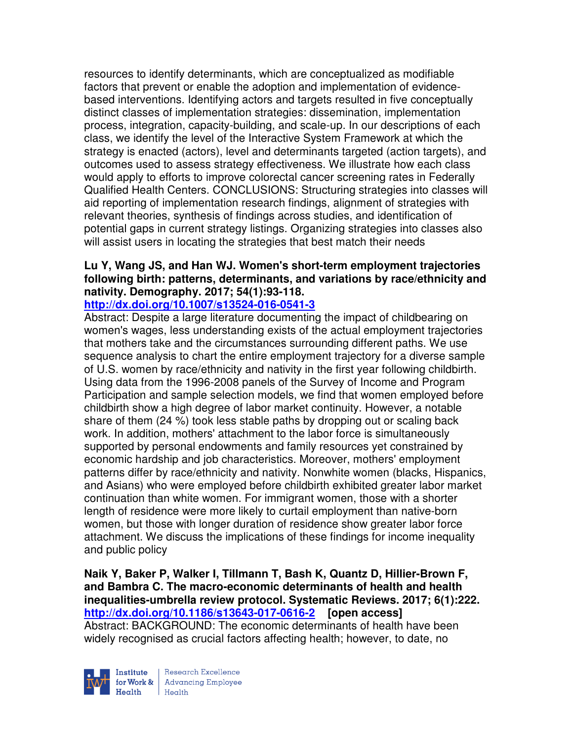resources to identify determinants, which are conceptualized as modifiable factors that prevent or enable the adoption and implementation of evidencebased interventions. Identifying actors and targets resulted in five conceptually distinct classes of implementation strategies: dissemination, implementation process, integration, capacity-building, and scale-up. In our descriptions of each class, we identify the level of the Interactive System Framework at which the strategy is enacted (actors), level and determinants targeted (action targets), and outcomes used to assess strategy effectiveness. We illustrate how each class would apply to efforts to improve colorectal cancer screening rates in Federally Qualified Health Centers. CONCLUSIONS: Structuring strategies into classes will aid reporting of implementation research findings, alignment of strategies with relevant theories, synthesis of findings across studies, and identification of potential gaps in current strategy listings. Organizing strategies into classes also will assist users in locating the strategies that best match their needs

# **Lu Y, Wang JS, and Han WJ. Women's short-term employment trajectories following birth: patterns, determinants, and variations by race/ethnicity and nativity. Demography. 2017; 54(1):93-118.**

#### **http://dx.doi.org/10.1007/s13524-016-0541-3**

Abstract: Despite a large literature documenting the impact of childbearing on women's wages, less understanding exists of the actual employment trajectories that mothers take and the circumstances surrounding different paths. We use sequence analysis to chart the entire employment trajectory for a diverse sample of U.S. women by race/ethnicity and nativity in the first year following childbirth. Using data from the 1996-2008 panels of the Survey of Income and Program Participation and sample selection models, we find that women employed before childbirth show a high degree of labor market continuity. However, a notable share of them (24 %) took less stable paths by dropping out or scaling back work. In addition, mothers' attachment to the labor force is simultaneously supported by personal endowments and family resources yet constrained by economic hardship and job characteristics. Moreover, mothers' employment patterns differ by race/ethnicity and nativity. Nonwhite women (blacks, Hispanics, and Asians) who were employed before childbirth exhibited greater labor market continuation than white women. For immigrant women, those with a shorter length of residence were more likely to curtail employment than native-born women, but those with longer duration of residence show greater labor force attachment. We discuss the implications of these findings for income inequality and public policy

**Naik Y, Baker P, Walker I, Tillmann T, Bash K, Quantz D, Hillier-Brown F, and Bambra C. The macro-economic determinants of health and health inequalities-umbrella review protocol. Systematic Reviews. 2017; 6(1):222. http://dx.doi.org/10.1186/s13643-017-0616-2 [open access]** Abstract: BACKGROUND: The economic determinants of health have been widely recognised as crucial factors affecting health; however, to date, no



Research Excellence for Work & | Advancing Employee  $H_{\text{each}}$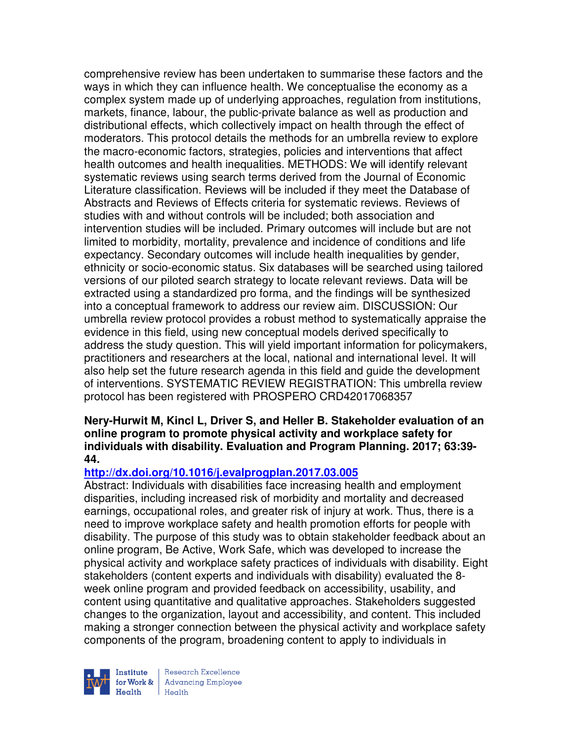comprehensive review has been undertaken to summarise these factors and the ways in which they can influence health. We conceptualise the economy as a complex system made up of underlying approaches, regulation from institutions, markets, finance, labour, the public-private balance as well as production and distributional effects, which collectively impact on health through the effect of moderators. This protocol details the methods for an umbrella review to explore the macro-economic factors, strategies, policies and interventions that affect health outcomes and health inequalities. METHODS: We will identify relevant systematic reviews using search terms derived from the Journal of Economic Literature classification. Reviews will be included if they meet the Database of Abstracts and Reviews of Effects criteria for systematic reviews. Reviews of studies with and without controls will be included; both association and intervention studies will be included. Primary outcomes will include but are not limited to morbidity, mortality, prevalence and incidence of conditions and life expectancy. Secondary outcomes will include health inequalities by gender, ethnicity or socio-economic status. Six databases will be searched using tailored versions of our piloted search strategy to locate relevant reviews. Data will be extracted using a standardized pro forma, and the findings will be synthesized into a conceptual framework to address our review aim. DISCUSSION: Our umbrella review protocol provides a robust method to systematically appraise the evidence in this field, using new conceptual models derived specifically to address the study question. This will yield important information for policymakers, practitioners and researchers at the local, national and international level. It will also help set the future research agenda in this field and guide the development of interventions. SYSTEMATIC REVIEW REGISTRATION: This umbrella review protocol has been registered with PROSPERO CRD42017068357

## **Nery-Hurwit M, Kincl L, Driver S, and Heller B. Stakeholder evaluation of an online program to promote physical activity and workplace safety for individuals with disability. Evaluation and Program Planning. 2017; 63:39- 44.**

## **http://dx.doi.org/10.1016/j.evalprogplan.2017.03.005**

Abstract: Individuals with disabilities face increasing health and employment disparities, including increased risk of morbidity and mortality and decreased earnings, occupational roles, and greater risk of injury at work. Thus, there is a need to improve workplace safety and health promotion efforts for people with disability. The purpose of this study was to obtain stakeholder feedback about an online program, Be Active, Work Safe, which was developed to increase the physical activity and workplace safety practices of individuals with disability. Eight stakeholders (content experts and individuals with disability) evaluated the 8 week online program and provided feedback on accessibility, usability, and content using quantitative and qualitative approaches. Stakeholders suggested changes to the organization, layout and accessibility, and content. This included making a stronger connection between the physical activity and workplace safety components of the program, broadening content to apply to individuals in



Research Excellence for Work & | Advancing Employee Health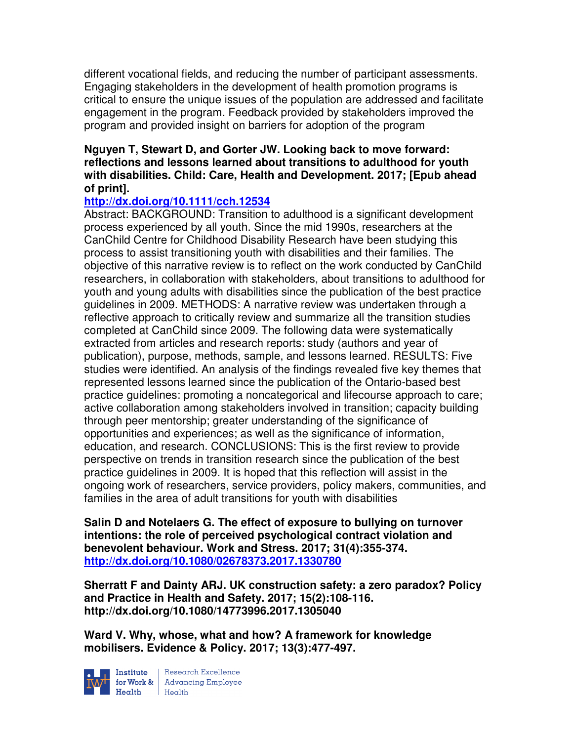different vocational fields, and reducing the number of participant assessments. Engaging stakeholders in the development of health promotion programs is critical to ensure the unique issues of the population are addressed and facilitate engagement in the program. Feedback provided by stakeholders improved the program and provided insight on barriers for adoption of the program

## **Nguyen T, Stewart D, and Gorter JW. Looking back to move forward: reflections and lessons learned about transitions to adulthood for youth with disabilities. Child: Care, Health and Development. 2017; [Epub ahead of print].**

## **http://dx.doi.org/10.1111/cch.12534**

Abstract: BACKGROUND: Transition to adulthood is a significant development process experienced by all youth. Since the mid 1990s, researchers at the CanChild Centre for Childhood Disability Research have been studying this process to assist transitioning youth with disabilities and their families. The objective of this narrative review is to reflect on the work conducted by CanChild researchers, in collaboration with stakeholders, about transitions to adulthood for youth and young adults with disabilities since the publication of the best practice guidelines in 2009. METHODS: A narrative review was undertaken through a reflective approach to critically review and summarize all the transition studies completed at CanChild since 2009. The following data were systematically extracted from articles and research reports: study (authors and year of publication), purpose, methods, sample, and lessons learned. RESULTS: Five studies were identified. An analysis of the findings revealed five key themes that represented lessons learned since the publication of the Ontario-based best practice guidelines: promoting a noncategorical and lifecourse approach to care; active collaboration among stakeholders involved in transition; capacity building through peer mentorship; greater understanding of the significance of opportunities and experiences; as well as the significance of information, education, and research. CONCLUSIONS: This is the first review to provide perspective on trends in transition research since the publication of the best practice guidelines in 2009. It is hoped that this reflection will assist in the ongoing work of researchers, service providers, policy makers, communities, and families in the area of adult transitions for youth with disabilities

**Salin D and Notelaers G. The effect of exposure to bullying on turnover intentions: the role of perceived psychological contract violation and benevolent behaviour. Work and Stress. 2017; 31(4):355-374. http://dx.doi.org/10.1080/02678373.2017.1330780** 

**Sherratt F and Dainty ARJ. UK construction safety: a zero paradox? Policy and Practice in Health and Safety. 2017; 15(2):108-116. http://dx.doi.org/10.1080/14773996.2017.1305040** 

**Ward V. Why, whose, what and how? A framework for knowledge mobilisers. Evidence & Policy. 2017; 13(3):477-497.** 



**Institute** Research Excellence<br> **for Work &** Advancing Employee<br> **Health** Health